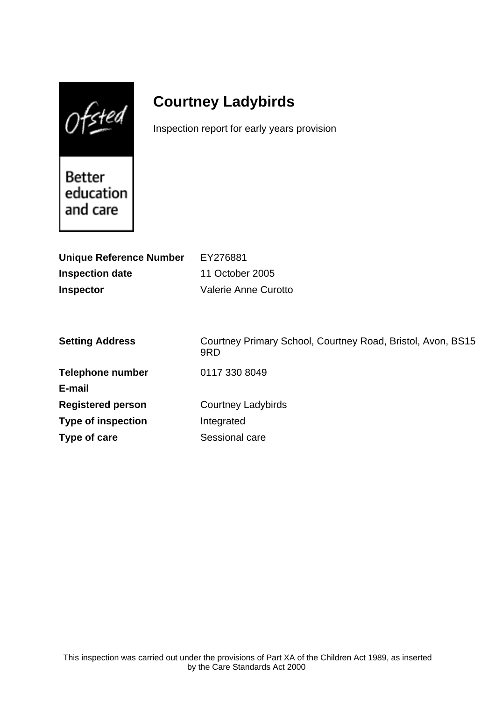$0$ fsted

# **Courtney Ladybirds**

Inspection report for early years provision

Better education and care

| <b>Unique Reference Number</b> | EY276881                                                           |
|--------------------------------|--------------------------------------------------------------------|
| <b>Inspection date</b>         | 11 October 2005                                                    |
| <b>Inspector</b>               | <b>Valerie Anne Curotto</b>                                        |
|                                |                                                                    |
|                                |                                                                    |
| <b>Setting Address</b>         | Courtney Primary School, Courtney Road, Bristol, Avon, BS15<br>9RD |
| <b>Telephone number</b>        | 0117 330 8049                                                      |
| E-mail                         |                                                                    |
| <b>Registered person</b>       | <b>Courtney Ladybirds</b>                                          |
| <b>Type of inspection</b>      | Integrated                                                         |
| Type of care                   | Sessional care                                                     |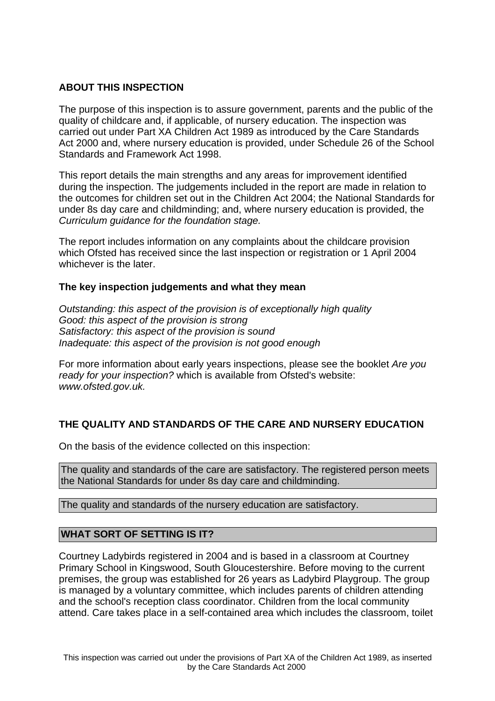## **ABOUT THIS INSPECTION**

The purpose of this inspection is to assure government, parents and the public of the quality of childcare and, if applicable, of nursery education. The inspection was carried out under Part XA Children Act 1989 as introduced by the Care Standards Act 2000 and, where nursery education is provided, under Schedule 26 of the School Standards and Framework Act 1998.

This report details the main strengths and any areas for improvement identified during the inspection. The judgements included in the report are made in relation to the outcomes for children set out in the Children Act 2004; the National Standards for under 8s day care and childminding; and, where nursery education is provided, the Curriculum guidance for the foundation stage.

The report includes information on any complaints about the childcare provision which Ofsted has received since the last inspection or registration or 1 April 2004 whichever is the later.

## **The key inspection judgements and what they mean**

Outstanding: this aspect of the provision is of exceptionally high quality Good: this aspect of the provision is strong Satisfactory: this aspect of the provision is sound Inadequate: this aspect of the provision is not good enough

For more information about early years inspections, please see the booklet Are you ready for your inspection? which is available from Ofsted's website: www.ofsted.gov.uk.

## **THE QUALITY AND STANDARDS OF THE CARE AND NURSERY EDUCATION**

On the basis of the evidence collected on this inspection:

The quality and standards of the care are satisfactory. The registered person meets the National Standards for under 8s day care and childminding.

The quality and standards of the nursery education are satisfactory.

## **WHAT SORT OF SETTING IS IT?**

Courtney Ladybirds registered in 2004 and is based in a classroom at Courtney Primary School in Kingswood, South Gloucestershire. Before moving to the current premises, the group was established for 26 years as Ladybird Playgroup. The group is managed by a voluntary committee, which includes parents of children attending and the school's reception class coordinator. Children from the local community attend. Care takes place in a self-contained area which includes the classroom, toilet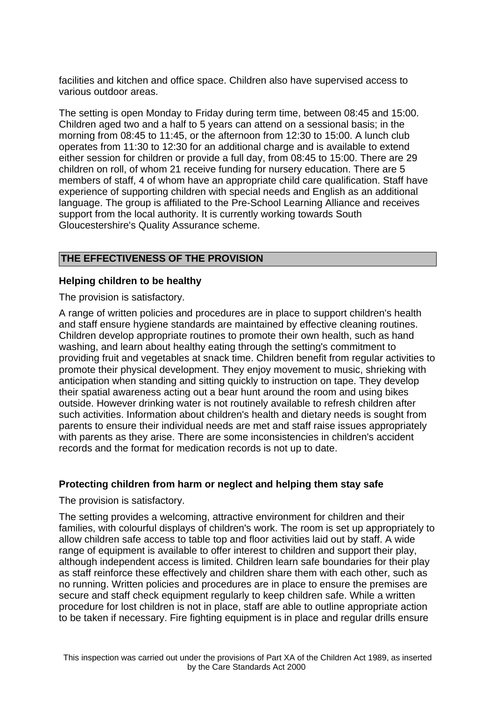facilities and kitchen and office space. Children also have supervised access to various outdoor areas.

The setting is open Monday to Friday during term time, between 08:45 and 15:00. Children aged two and a half to 5 years can attend on a sessional basis; in the morning from 08:45 to 11:45, or the afternoon from 12:30 to 15:00. A lunch club operates from 11:30 to 12:30 for an additional charge and is available to extend either session for children or provide a full day, from 08:45 to 15:00. There are 29 children on roll, of whom 21 receive funding for nursery education. There are 5 members of staff, 4 of whom have an appropriate child care qualification. Staff have experience of supporting children with special needs and English as an additional language. The group is affiliated to the Pre-School Learning Alliance and receives support from the local authority. It is currently working towards South Gloucestershire's Quality Assurance scheme.

#### **THE EFFECTIVENESS OF THE PROVISION**

#### **Helping children to be healthy**

The provision is satisfactory.

A range of written policies and procedures are in place to support children's health and staff ensure hygiene standards are maintained by effective cleaning routines. Children develop appropriate routines to promote their own health, such as hand washing, and learn about healthy eating through the setting's commitment to providing fruit and vegetables at snack time. Children benefit from regular activities to promote their physical development. They enjoy movement to music, shrieking with anticipation when standing and sitting quickly to instruction on tape. They develop their spatial awareness acting out a bear hunt around the room and using bikes outside. However drinking water is not routinely available to refresh children after such activities. Information about children's health and dietary needs is sought from parents to ensure their individual needs are met and staff raise issues appropriately with parents as they arise. There are some inconsistencies in children's accident records and the format for medication records is not up to date.

## **Protecting children from harm or neglect and helping them stay safe**

The provision is satisfactory.

The setting provides a welcoming, attractive environment for children and their families, with colourful displays of children's work. The room is set up appropriately to allow children safe access to table top and floor activities laid out by staff. A wide range of equipment is available to offer interest to children and support their play, although independent access is limited. Children learn safe boundaries for their play as staff reinforce these effectively and children share them with each other, such as no running. Written policies and procedures are in place to ensure the premises are secure and staff check equipment regularly to keep children safe. While a written procedure for lost children is not in place, staff are able to outline appropriate action to be taken if necessary. Fire fighting equipment is in place and regular drills ensure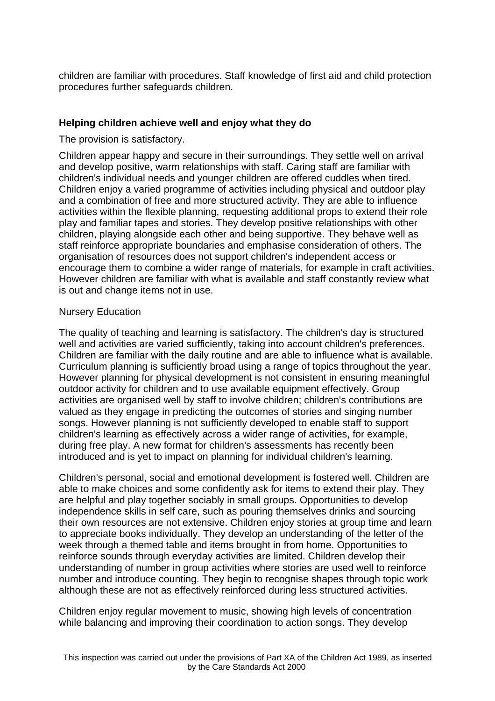children are familiar with procedures. Staff knowledge of first aid and child protection procedures further safeguards children.

## **Helping children achieve well and enjoy what they do**

The provision is satisfactory.

Children appear happy and secure in their surroundings. They settle well on arrival and develop positive, warm relationships with staff. Caring staff are familiar with children's individual needs and younger children are offered cuddles when tired. Children enjoy a varied programme of activities including physical and outdoor play and a combination of free and more structured activity. They are able to influence activities within the flexible planning, requesting additional props to extend their role play and familiar tapes and stories. They develop positive relationships with other children, playing alongside each other and being supportive. They behave well as staff reinforce appropriate boundaries and emphasise consideration of others. The organisation of resources does not support children's independent access or encourage them to combine a wider range of materials, for example in craft activities. However children are familiar with what is available and staff constantly review what is out and change items not in use.

#### Nursery Education

The quality of teaching and learning is satisfactory. The children's day is structured well and activities are varied sufficiently, taking into account children's preferences. Children are familiar with the daily routine and are able to influence what is available. Curriculum planning is sufficiently broad using a range of topics throughout the year. However planning for physical development is not consistent in ensuring meaningful outdoor activity for children and to use available equipment effectively. Group activities are organised well by staff to involve children; children's contributions are valued as they engage in predicting the outcomes of stories and singing number songs. However planning is not sufficiently developed to enable staff to support children's learning as effectively across a wider range of activities, for example, during free play. A new format for children's assessments has recently been introduced and is yet to impact on planning for individual children's learning.

Children's personal, social and emotional development is fostered well. Children are able to make choices and some confidently ask for items to extend their play. They are helpful and play together sociably in small groups. Opportunities to develop independence skills in self care, such as pouring themselves drinks and sourcing their own resources are not extensive. Children enjoy stories at group time and learn to appreciate books individually. They develop an understanding of the letter of the week through a themed table and items brought in from home. Opportunities to reinforce sounds through everyday activities are limited. Children develop their understanding of number in group activities where stories are used well to reinforce number and introduce counting. They begin to recognise shapes through topic work although these are not as effectively reinforced during less structured activities.

Children enjoy regular movement to music, showing high levels of concentration while balancing and improving their coordination to action songs. They develop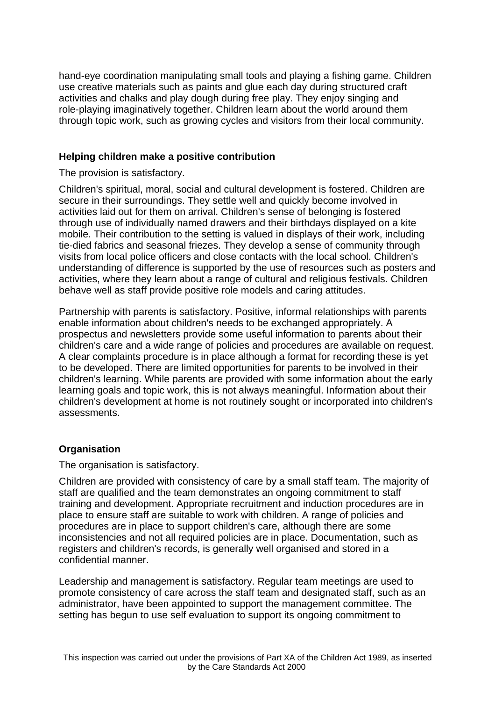hand-eye coordination manipulating small tools and playing a fishing game. Children use creative materials such as paints and glue each day during structured craft activities and chalks and play dough during free play. They enjoy singing and role-playing imaginatively together. Children learn about the world around them through topic work, such as growing cycles and visitors from their local community.

## **Helping children make a positive contribution**

#### The provision is satisfactory.

Children's spiritual, moral, social and cultural development is fostered. Children are secure in their surroundings. They settle well and quickly become involved in activities laid out for them on arrival. Children's sense of belonging is fostered through use of individually named drawers and their birthdays displayed on a kite mobile. Their contribution to the setting is valued in displays of their work, including tie-died fabrics and seasonal friezes. They develop a sense of community through visits from local police officers and close contacts with the local school. Children's understanding of difference is supported by the use of resources such as posters and activities, where they learn about a range of cultural and religious festivals. Children behave well as staff provide positive role models and caring attitudes.

Partnership with parents is satisfactory. Positive, informal relationships with parents enable information about children's needs to be exchanged appropriately. A prospectus and newsletters provide some useful information to parents about their children's care and a wide range of policies and procedures are available on request. A clear complaints procedure is in place although a format for recording these is yet to be developed. There are limited opportunities for parents to be involved in their children's learning. While parents are provided with some information about the early learning goals and topic work, this is not always meaningful. Information about their children's development at home is not routinely sought or incorporated into children's assessments.

# **Organisation**

## The organisation is satisfactory.

Children are provided with consistency of care by a small staff team. The majority of staff are qualified and the team demonstrates an ongoing commitment to staff training and development. Appropriate recruitment and induction procedures are in place to ensure staff are suitable to work with children. A range of policies and procedures are in place to support children's care, although there are some inconsistencies and not all required policies are in place. Documentation, such as registers and children's records, is generally well organised and stored in a confidential manner.

Leadership and management is satisfactory. Regular team meetings are used to promote consistency of care across the staff team and designated staff, such as an administrator, have been appointed to support the management committee. The setting has begun to use self evaluation to support its ongoing commitment to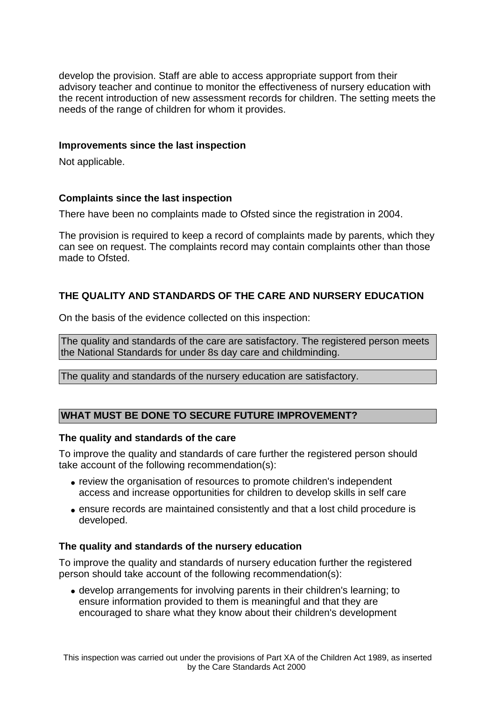develop the provision. Staff are able to access appropriate support from their advisory teacher and continue to monitor the effectiveness of nursery education with the recent introduction of new assessment records for children. The setting meets the needs of the range of children for whom it provides.

## **Improvements since the last inspection**

Not applicable.

## **Complaints since the last inspection**

There have been no complaints made to Ofsted since the registration in 2004.

The provision is required to keep a record of complaints made by parents, which they can see on request. The complaints record may contain complaints other than those made to Ofsted.

# **THE QUALITY AND STANDARDS OF THE CARE AND NURSERY EDUCATION**

On the basis of the evidence collected on this inspection:

The quality and standards of the care are satisfactory. The registered person meets the National Standards for under 8s day care and childminding.

The quality and standards of the nursery education are satisfactory.

## **WHAT MUST BE DONE TO SECURE FUTURE IMPROVEMENT?**

#### **The quality and standards of the care**

To improve the quality and standards of care further the registered person should take account of the following recommendation(s):

- review the organisation of resources to promote children's independent access and increase opportunities for children to develop skills in self care
- ensure records are maintained consistently and that a lost child procedure is developed.

#### **The quality and standards of the nursery education**

To improve the quality and standards of nursery education further the registered person should take account of the following recommendation(s):

• develop arrangements for involving parents in their children's learning; to ensure information provided to them is meaningful and that they are encouraged to share what they know about their children's development